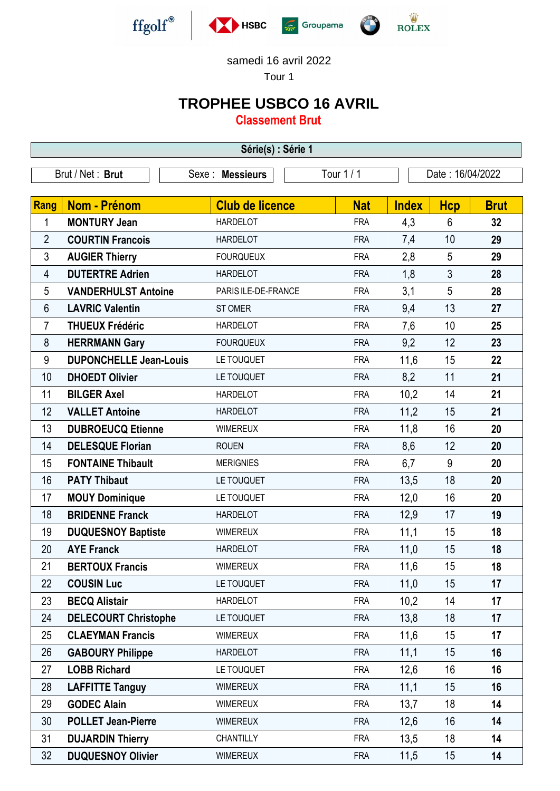

samedi 16 avril 2022

Tour 1

## **TROPHEE USBCO 16 AVRIL**

**Classement Brut**

| Série(s) : Série 1 |                               |                        |            |              |                  |             |  |  |  |
|--------------------|-------------------------------|------------------------|------------|--------------|------------------|-------------|--|--|--|
| Brut / Net: Brut   |                               | Sexe : Messieurs       | Tour $1/1$ |              | Date: 16/04/2022 |             |  |  |  |
| <b>Rang</b>        | <b>Nom - Prénom</b>           | <b>Club de licence</b> | <b>Nat</b> | <b>Index</b> | <b>Hcp</b>       | <b>Brut</b> |  |  |  |
| 1                  | <b>MONTURY Jean</b>           | <b>HARDELOT</b>        | <b>FRA</b> | 4,3          | 6                | 32          |  |  |  |
| $\overline{2}$     | <b>COURTIN Francois</b>       | <b>HARDELOT</b>        | <b>FRA</b> | 7,4          | 10               | 29          |  |  |  |
| 3                  | <b>AUGIER Thierry</b>         | <b>FOURQUEUX</b>       | <b>FRA</b> | 2,8          | 5                | 29          |  |  |  |
| 4                  | <b>DUTERTRE Adrien</b>        | <b>HARDELOT</b>        | <b>FRA</b> | 1,8          | $\mathfrak{Z}$   | 28          |  |  |  |
| 5                  | <b>VANDERHULST Antoine</b>    | PARIS ILE-DE-FRANCE    | <b>FRA</b> | 3,1          | 5                | 28          |  |  |  |
| 6                  | <b>LAVRIC Valentin</b>        | ST OMER                | <b>FRA</b> | 9,4          | 13               | 27          |  |  |  |
| 7                  | <b>THUEUX Frédéric</b>        | <b>HARDELOT</b>        | <b>FRA</b> | 7,6          | 10               | 25          |  |  |  |
| 8                  | <b>HERRMANN Gary</b>          | <b>FOURQUEUX</b>       | <b>FRA</b> | 9,2          | 12               | 23          |  |  |  |
| 9                  | <b>DUPONCHELLE Jean-Louis</b> | LE TOUQUET             | <b>FRA</b> | 11,6         | 15               | 22          |  |  |  |
| 10                 | <b>DHOEDT Olivier</b>         | LE TOUQUET             | <b>FRA</b> | 8,2          | 11               | 21          |  |  |  |
| 11                 | <b>BILGER Axel</b>            | <b>HARDELOT</b>        | <b>FRA</b> | 10,2         | 14               | 21          |  |  |  |
| 12                 | <b>VALLET Antoine</b>         | <b>HARDELOT</b>        | <b>FRA</b> | 11,2         | 15               | 21          |  |  |  |
| 13                 | <b>DUBROEUCQ Etienne</b>      | <b>WIMEREUX</b>        | <b>FRA</b> | 11,8         | 16               | 20          |  |  |  |
| 14                 | <b>DELESQUE Florian</b>       | <b>ROUEN</b>           | <b>FRA</b> | 8,6          | 12               | 20          |  |  |  |
| 15                 | <b>FONTAINE Thibault</b>      | <b>MERIGNIES</b>       | <b>FRA</b> | 6,7          | 9                | 20          |  |  |  |
| 16                 | <b>PATY Thibaut</b>           | LE TOUQUET             | <b>FRA</b> | 13,5         | 18               | 20          |  |  |  |
| 17                 | <b>MOUY Dominique</b>         | LE TOUQUET             | <b>FRA</b> | 12,0         | 16               | 20          |  |  |  |
| 18                 | <b>BRIDENNE Franck</b>        | <b>HARDELOT</b>        | <b>FRA</b> | 12,9         | 17               | 19          |  |  |  |
| 19                 | <b>DUQUESNOY Baptiste</b>     | <b>WIMEREUX</b>        | <b>FRA</b> | 11,1         | 15               | 18          |  |  |  |
| 20                 | <b>AYE Franck</b>             | <b>HARDELOT</b>        | <b>FRA</b> | 11,0         | 15               | 18          |  |  |  |
| 21                 | <b>BERTOUX Francis</b>        | WIMEREUX               | <b>FRA</b> | 11,6         | 15               | 18          |  |  |  |
| 22                 | <b>COUSIN Luc</b>             | LE TOUQUET             | <b>FRA</b> | 11,0         | 15               | 17          |  |  |  |
| 23                 | <b>BECQ Alistair</b>          | <b>HARDELOT</b>        | <b>FRA</b> | 10,2         | 14               | 17          |  |  |  |
| 24                 | <b>DELECOURT Christophe</b>   | LE TOUQUET             | <b>FRA</b> | 13,8         | 18               | 17          |  |  |  |
| 25                 | <b>CLAEYMAN Francis</b>       | <b>WIMEREUX</b>        | <b>FRA</b> | 11,6         | 15               | 17          |  |  |  |
| 26                 | <b>GABOURY Philippe</b>       | <b>HARDELOT</b>        | <b>FRA</b> | 11,1         | 15               | 16          |  |  |  |
| 27                 | <b>LOBB Richard</b>           | LE TOUQUET             | <b>FRA</b> | 12,6         | 16               | 16          |  |  |  |
| 28                 | <b>LAFFITTE Tanguy</b>        | <b>WIMEREUX</b>        | <b>FRA</b> | 11,1         | 15               | 16          |  |  |  |
| 29                 | <b>GODEC Alain</b>            | <b>WIMEREUX</b>        | <b>FRA</b> | 13,7         | 18               | 14          |  |  |  |
| 30                 | <b>POLLET Jean-Pierre</b>     | <b>WIMEREUX</b>        | <b>FRA</b> | 12,6         | 16               | 14          |  |  |  |
| 31                 | <b>DUJARDIN Thierry</b>       | <b>CHANTILLY</b>       | <b>FRA</b> | 13,5         | 18               | 14          |  |  |  |
| 32                 | <b>DUQUESNOY Olivier</b>      | <b>WIMEREUX</b>        | <b>FRA</b> | 11,5         | 15               | 14          |  |  |  |